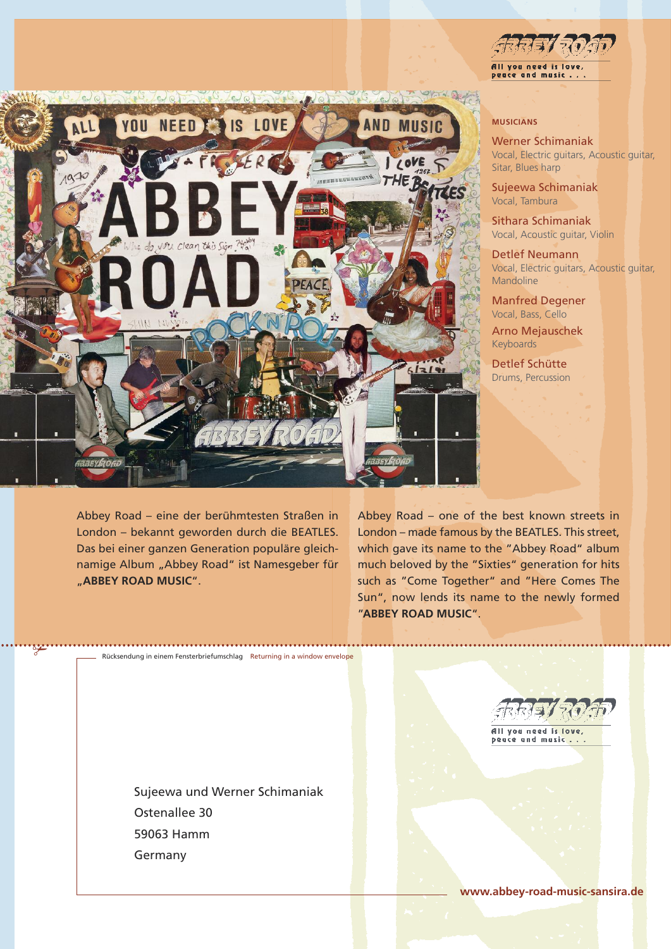

Abbey Road – eine der berühmtesten Straßen in London – bekannt geworden durch die BEATLES. Das bei einer ganzen Generation populäre gleichnamige Album "Abbey Road" ist Namesgeber für "**ABBEY ROAD MUSIC**".

✃

All you ne pence and masic

## **MUSICIANS**

Werner Schimaniak Vocal, Electric guitars, Acoustic guitar, Sitar, Blues harp

Sujeewa Schimaniak Vocal, Tambura

Sithara Schimaniak Vocal, Acoustic guitar, Violin

Detlef Neumann Vocal, Electric guitars, Acoustic guitar, Mandoline

Manfred Degener Vocal, Bass, Cello

Arno Mejauschek Keyboards

Detlef Schütte Drums, Percussion

Abbey Road – one of the best known streets in London – made famous by the BEATLES. This street, which gave its name to the "Abbey Road" album much beloved by the "Sixties" generation for hits such as "Come Together" and "Here Comes The Sun", now lends its name to the newly formed "**ABBEY ROAD MUSIC**".

Sujeewa und Werner Schimaniak Ostenallee 30 59063 Hamm Germany

Rücksendung in einem Fensterbriefumschlag Returning in a window envelope

REVEMEN All you need is love,

beace and music..

**www.abbey-road-music-sansira.de**